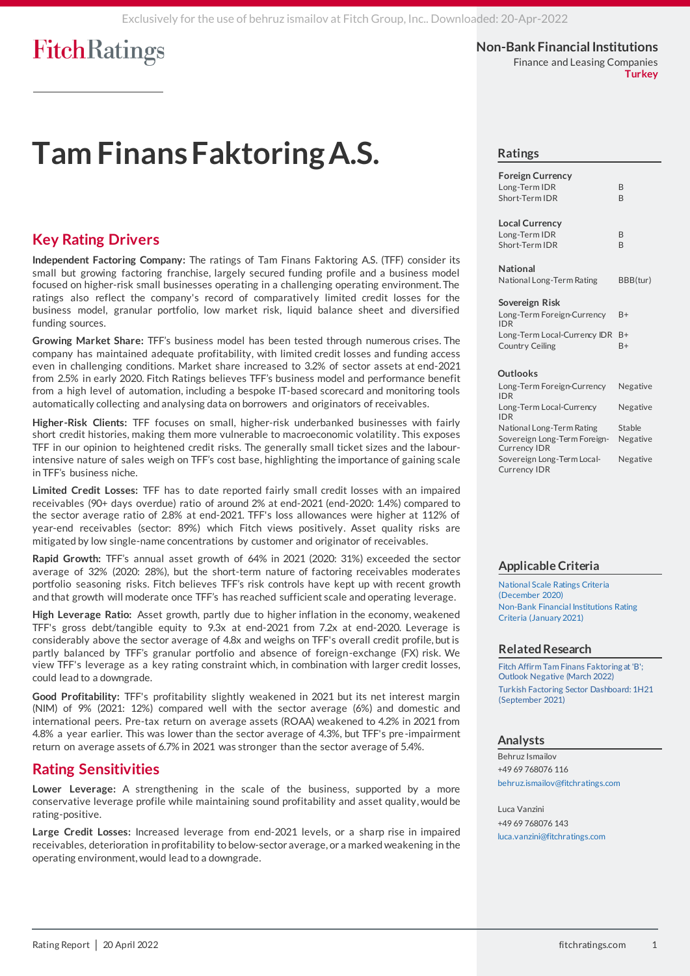**Non-Bank Financial Institutions** Finance and Leasing Companies

**Turkey**

# **Tam Finans Faktoring A.S.**

## **Key Rating Drivers**

**Independent Factoring Company:** The ratings of Tam Finans Faktoring A.S. (TFF) consider its small but growing factoring franchise, largely secured funding profile and a business model focused on higher-risk small businesses operating in a challenging operating environment. The ratings also reflect the company's record of comparatively limited credit losses for the business model, granular portfolio, low market risk, liquid balance sheet and diversified funding sources.

**Growing Market Share:** TFF's business model has been tested through numerous crises. The company has maintained adequate profitability, with limited credit losses and funding access even in challenging conditions. Market share increased to 3.2% of sector assets at end-2021 from 2.5% in early 2020. Fitch Ratings believes TFF's business model and performance benefit from a high level of automation, including a bespoke IT-based scorecard and monitoring tools automatically collecting and analysing data on borrowers and originators of receivables.

**Higher-Risk Clients:** TFF focuses on small, higher-risk underbanked businesses with fairly short credit histories, making them more vulnerable to macroeconomic volatility. This exposes TFF in our opinion to heightened credit risks. The generally small ticket sizes and the labourintensive nature of sales weigh on TFF's cost base, highlighting the importance of gaining scale in TFF's business niche.

**Limited Credit Losses:** TFF has to date reported fairly small credit losses with an impaired receivables (90+ days overdue) ratio of around 2% at end-2021 (end-2020: 1.4%) compared to the sector average ratio of 2.8% at end-2021. TFF's loss allowances were higher at 112% of year-end receivables (sector: 89%) which Fitch views positively. Asset quality risks are mitigated by low single-name concentrations by customer and originator of receivables.

**Rapid Growth:** TFF's annual asset growth of 64% in 2021 (2020: 31%) exceeded the sector average of 32% (2020: 28%), but the short-term nature of factoring receivables moderates portfolio seasoning risks. Fitch believes TFF's risk controls have kept up with recent growth and that growth will moderate once TFF's has reached sufficient scale and operating leverage.

**High Leverage Ratio:** Asset growth, partly due to higher inflation in the economy, weakened TFF's gross debt/tangible equity to 9.3x at end-2021 from 7.2x at end-2020. Leverage is considerably above the sector average of 4.8x and weighs on TFF's overall credit profile, but is partly balanced by TFF's granular portfolio and absence of foreign-exchange (FX) risk. We view TFF's leverage as a key rating constraint which, in combination with larger credit losses, could lead to a downgrade.

**Good Profitability:** TFF's profitability slightly weakened in 2021 but its net interest margin (NIM) of 9% (2021: 12%) compared well with the sector average (6%) and domestic and international peers. Pre-tax return on average assets (ROAA) weakened to 4.2% in 2021 from 4.8% a year earlier. This was lower than the sector average of 4.3%, but TFF's pre-impairment return on average assets of 6.7% in 2021 was stronger than the sector average of 5.4%.

## **Rating Sensitivities**

**Lower Leverage:** A strengthening in the scale of the business, supported by a more conservative leverage profile while maintaining sound profitability and asset quality, would be rating-positive.

**Large Credit Losses:** Increased leverage from end-2021 levels, or a sharp rise in impaired receivables, deterioration in profitability to below-sector average, or a marked weakening in the operating environment,would lead to a downgrade.

## **Ratings**

| <b>Foreign Currency</b><br>Long-Term IDR<br>B<br>Short-Term IDR<br>R                                                 |                                  |
|----------------------------------------------------------------------------------------------------------------------|----------------------------------|
| <b>Local Currency</b><br>Long-Term IDR<br>B<br>Short-Term IDR<br>B                                                   |                                  |
| <b>National</b><br>National Long-Term Rating                                                                         | BBB(tur)                         |
| Sovereign Risk<br>Long-Term Foreign-Currency<br><b>IDR</b><br>Long-Term Local-Currency IDR<br><b>Country Ceiling</b> | B+<br>$B+$<br>$B+$               |
| <b>Outlooks</b><br>Long-Term Foreign-Currency<br><b>IDR</b>                                                          | Negative                         |
| Long-Term Local-Currency<br><b>IDR</b><br>$\mathbf{r}$                                                               | Negative<br>$\sim$ $\sim$ $\sim$ |

National Long-Term Rating Stable Sovereign Long-Term Foreign-Currency IDR Negative Sovereign Long-Term Local-Currency IDR Negative

### **Applicable Criteria**

[National Scale Ratings Criteria](https://app.fitchconnect.com/search/research/article/RPT_10146648?jwt=eyJhbGciOiJIUzUxMiJ9.eyJzdWIiOiJ3YXRlcm1hcmsiLCJ1c2VySUQiOiI1YTlkNmE0MzNlOTZhNTAwMDE1YzQ2NjkiLCJkb2NJRCI6IkZSX1JQVF8xMDE5OTI4NCIsIlVVSUQiOiIxNzc5OGYyYi1lNDdkLTQ1MjYtOGY1Mi1kZmM5NTM4MTM3MDAiLCJjbGllbnRJRCI6IjJVZ2ZqU3ZFbjEwUDlMNVkxUWRYUWgiLCJ0aW1lc3RhbXAiOnsibmFubyI6MjkyNDY4MDAwLCJ5ZWFyIjoyMDIyLCJtb250aFZhbHVlIjo0LCJkYXlPZk1vbnRoIjoyMCwiaG91ciI6MTMsIm1pbnV0ZSI6MTksInNlY29uZCI6NDAsImRheU9mV2VlayI6IldFRE5FU0RBWSIsImRheU9mWWVhciI6MTEwLCJtb250aCI6IkFQUklMIiwiY2hyb25vbG9neSI6eyJpZCI6IklTTyIsImNhbGVuZGFyVHlwZSI6Imlzbzg2MDEifX19.4rgL8E7DoZoUtb3fZ62hAthtCBkeYMe3PoJEBB6KHhMlJqTJwJ10yvhV4Uz14d1zv5KfLtfzgzRGn5KNaa5frQ)  [\(December](https://app.fitchconnect.com/search/research/article/RPT_10146648?jwt=eyJhbGciOiJIUzUxMiJ9.eyJzdWIiOiJ3YXRlcm1hcmsiLCJ1c2VySUQiOiI1YTlkNmE0MzNlOTZhNTAwMDE1YzQ2NjkiLCJkb2NJRCI6IkZSX1JQVF8xMDE5OTI4NCIsIlVVSUQiOiIxNzc5OGYyYi1lNDdkLTQ1MjYtOGY1Mi1kZmM5NTM4MTM3MDAiLCJjbGllbnRJRCI6IjJVZ2ZqU3ZFbjEwUDlMNVkxUWRYUWgiLCJ0aW1lc3RhbXAiOnsibmFubyI6MjkyNDY4MDAwLCJ5ZWFyIjoyMDIyLCJtb250aFZhbHVlIjo0LCJkYXlPZk1vbnRoIjoyMCwiaG91ciI6MTMsIm1pbnV0ZSI6MTksInNlY29uZCI6NDAsImRheU9mV2VlayI6IldFRE5FU0RBWSIsImRheU9mWWVhciI6MTEwLCJtb250aCI6IkFQUklMIiwiY2hyb25vbG9neSI6eyJpZCI6IklTTyIsImNhbGVuZGFyVHlwZSI6Imlzbzg2MDEifX19.4rgL8E7DoZoUtb3fZ62hAthtCBkeYMe3PoJEBB6KHhMlJqTJwJ10yvhV4Uz14d1zv5KfLtfzgzRGn5KNaa5frQ) 2020) [Non-Bank Financial Institutions Rating](https://app.fitchconnect.com/search/research/article/RPT_10187597?jwt=eyJhbGciOiJIUzUxMiJ9.eyJzdWIiOiJ3YXRlcm1hcmsiLCJ1c2VySUQiOiI1YTlkNmE0MzNlOTZhNTAwMDE1YzQ2NjkiLCJkb2NJRCI6IkZSX1JQVF8xMDE5OTI4NCIsIlVVSUQiOiIxNzc5OGYyYi1lNDdkLTQ1MjYtOGY1Mi1kZmM5NTM4MTM3MDAiLCJjbGllbnRJRCI6IjJVZ2ZqU3ZFbjEwUDlMNVkxUWRYUWgiLCJ0aW1lc3RhbXAiOnsibmFubyI6MjkyNDY4MDAwLCJ5ZWFyIjoyMDIyLCJtb250aFZhbHVlIjo0LCJkYXlPZk1vbnRoIjoyMCwiaG91ciI6MTMsIm1pbnV0ZSI6MTksInNlY29uZCI6NDAsImRheU9mV2VlayI6IldFRE5FU0RBWSIsImRheU9mWWVhciI6MTEwLCJtb250aCI6IkFQUklMIiwiY2hyb25vbG9neSI6eyJpZCI6IklTTyIsImNhbGVuZGFyVHlwZSI6Imlzbzg2MDEifX19.4rgL8E7DoZoUtb3fZ62hAthtCBkeYMe3PoJEBB6KHhMlJqTJwJ10yvhV4Uz14d1zv5KfLtfzgzRGn5KNaa5frQ)  [Criteria \(January 2021\)](https://app.fitchconnect.com/search/research/article/RPT_10187597?jwt=eyJhbGciOiJIUzUxMiJ9.eyJzdWIiOiJ3YXRlcm1hcmsiLCJ1c2VySUQiOiI1YTlkNmE0MzNlOTZhNTAwMDE1YzQ2NjkiLCJkb2NJRCI6IkZSX1JQVF8xMDE5OTI4NCIsIlVVSUQiOiIxNzc5OGYyYi1lNDdkLTQ1MjYtOGY1Mi1kZmM5NTM4MTM3MDAiLCJjbGllbnRJRCI6IjJVZ2ZqU3ZFbjEwUDlMNVkxUWRYUWgiLCJ0aW1lc3RhbXAiOnsibmFubyI6MjkyNDY4MDAwLCJ5ZWFyIjoyMDIyLCJtb250aFZhbHVlIjo0LCJkYXlPZk1vbnRoIjoyMCwiaG91ciI6MTMsIm1pbnV0ZSI6MTksInNlY29uZCI6NDAsImRheU9mV2VlayI6IldFRE5FU0RBWSIsImRheU9mWWVhciI6MTEwLCJtb250aCI6IkFQUklMIiwiY2hyb25vbG9neSI6eyJpZCI6IklTTyIsImNhbGVuZGFyVHlwZSI6Imlzbzg2MDEifX19.4rgL8E7DoZoUtb3fZ62hAthtCBkeYMe3PoJEBB6KHhMlJqTJwJ10yvhV4Uz14d1zv5KfLtfzgzRGn5KNaa5frQ) 

### **Related Research**

[Fitch Affirm Tam Finans Faktoring at 'B';](https://app.fitchconnect.com/search/research/article/PR_10192529?jwt=eyJhbGciOiJIUzUxMiJ9.eyJzdWIiOiJ3YXRlcm1hcmsiLCJ1c2VySUQiOiI1YTlkNmE0MzNlOTZhNTAwMDE1YzQ2NjkiLCJkb2NJRCI6IkZSX1JQVF8xMDE5OTI4NCIsIlVVSUQiOiIxNzc5OGYyYi1lNDdkLTQ1MjYtOGY1Mi1kZmM5NTM4MTM3MDAiLCJjbGllbnRJRCI6IjJVZ2ZqU3ZFbjEwUDlMNVkxUWRYUWgiLCJ0aW1lc3RhbXAiOnsibmFubyI6MjkyNDY4MDAwLCJ5ZWFyIjoyMDIyLCJtb250aFZhbHVlIjo0LCJkYXlPZk1vbnRoIjoyMCwiaG91ciI6MTMsIm1pbnV0ZSI6MTksInNlY29uZCI6NDAsImRheU9mV2VlayI6IldFRE5FU0RBWSIsImRheU9mWWVhciI6MTEwLCJtb250aCI6IkFQUklMIiwiY2hyb25vbG9neSI6eyJpZCI6IklTTyIsImNhbGVuZGFyVHlwZSI6Imlzbzg2MDEifX19.4rgL8E7DoZoUtb3fZ62hAthtCBkeYMe3PoJEBB6KHhMlJqTJwJ10yvhV4Uz14d1zv5KfLtfzgzRGn5KNaa5frQ)  Outlook [Negative \(March 2022\)](https://app.fitchconnect.com/search/research/article/PR_10192529?jwt=eyJhbGciOiJIUzUxMiJ9.eyJzdWIiOiJ3YXRlcm1hcmsiLCJ1c2VySUQiOiI1YTlkNmE0MzNlOTZhNTAwMDE1YzQ2NjkiLCJkb2NJRCI6IkZSX1JQVF8xMDE5OTI4NCIsIlVVSUQiOiIxNzc5OGYyYi1lNDdkLTQ1MjYtOGY1Mi1kZmM5NTM4MTM3MDAiLCJjbGllbnRJRCI6IjJVZ2ZqU3ZFbjEwUDlMNVkxUWRYUWgiLCJ0aW1lc3RhbXAiOnsibmFubyI6MjkyNDY4MDAwLCJ5ZWFyIjoyMDIyLCJtb250aFZhbHVlIjo0LCJkYXlPZk1vbnRoIjoyMCwiaG91ciI6MTMsIm1pbnV0ZSI6MTksInNlY29uZCI6NDAsImRheU9mV2VlayI6IldFRE5FU0RBWSIsImRheU9mWWVhciI6MTEwLCJtb250aCI6IkFQUklMIiwiY2hyb25vbG9neSI6eyJpZCI6IklTTyIsImNhbGVuZGFyVHlwZSI6Imlzbzg2MDEifX19.4rgL8E7DoZoUtb3fZ62hAthtCBkeYMe3PoJEBB6KHhMlJqTJwJ10yvhV4Uz14d1zv5KfLtfzgzRGn5KNaa5frQ) [Turkish Factoring Sector Dashboard: 1H21](https://app.fitchconnect.com/search/research/article/RPT_10178383?jwt=eyJhbGciOiJIUzUxMiJ9.eyJzdWIiOiJ3YXRlcm1hcmsiLCJ1c2VySUQiOiI1YTlkNmE0MzNlOTZhNTAwMDE1YzQ2NjkiLCJkb2NJRCI6IkZSX1JQVF8xMDE5OTI4NCIsIlVVSUQiOiIxNzc5OGYyYi1lNDdkLTQ1MjYtOGY1Mi1kZmM5NTM4MTM3MDAiLCJjbGllbnRJRCI6IjJVZ2ZqU3ZFbjEwUDlMNVkxUWRYUWgiLCJ0aW1lc3RhbXAiOnsibmFubyI6MjkyNDY4MDAwLCJ5ZWFyIjoyMDIyLCJtb250aFZhbHVlIjo0LCJkYXlPZk1vbnRoIjoyMCwiaG91ciI6MTMsIm1pbnV0ZSI6MTksInNlY29uZCI6NDAsImRheU9mV2VlayI6IldFRE5FU0RBWSIsImRheU9mWWVhciI6MTEwLCJtb250aCI6IkFQUklMIiwiY2hyb25vbG9neSI6eyJpZCI6IklTTyIsImNhbGVuZGFyVHlwZSI6Imlzbzg2MDEifX19.4rgL8E7DoZoUtb3fZ62hAthtCBkeYMe3PoJEBB6KHhMlJqTJwJ10yvhV4Uz14d1zv5KfLtfzgzRGn5KNaa5frQ)  [\(September 2021\)](https://app.fitchconnect.com/search/research/article/RPT_10178383?jwt=eyJhbGciOiJIUzUxMiJ9.eyJzdWIiOiJ3YXRlcm1hcmsiLCJ1c2VySUQiOiI1YTlkNmE0MzNlOTZhNTAwMDE1YzQ2NjkiLCJkb2NJRCI6IkZSX1JQVF8xMDE5OTI4NCIsIlVVSUQiOiIxNzc5OGYyYi1lNDdkLTQ1MjYtOGY1Mi1kZmM5NTM4MTM3MDAiLCJjbGllbnRJRCI6IjJVZ2ZqU3ZFbjEwUDlMNVkxUWRYUWgiLCJ0aW1lc3RhbXAiOnsibmFubyI6MjkyNDY4MDAwLCJ5ZWFyIjoyMDIyLCJtb250aFZhbHVlIjo0LCJkYXlPZk1vbnRoIjoyMCwiaG91ciI6MTMsIm1pbnV0ZSI6MTksInNlY29uZCI6NDAsImRheU9mV2VlayI6IldFRE5FU0RBWSIsImRheU9mWWVhciI6MTEwLCJtb250aCI6IkFQUklMIiwiY2hyb25vbG9neSI6eyJpZCI6IklTTyIsImNhbGVuZGFyVHlwZSI6Imlzbzg2MDEifX19.4rgL8E7DoZoUtb3fZ62hAthtCBkeYMe3PoJEBB6KHhMlJqTJwJ10yvhV4Uz14d1zv5KfLtfzgzRGn5KNaa5frQ)

### **Analysts**

Behruz Ismailov +49 69 768076 116 [behruz.ismailov@fitchratings.com](mailto:behruz.ismailov@fitchratings.com)

Luca Vanzini +49 69 768076 143 [luca.vanzini@fitchratings.com](mailto:luca.vanzini@fitchratings.com)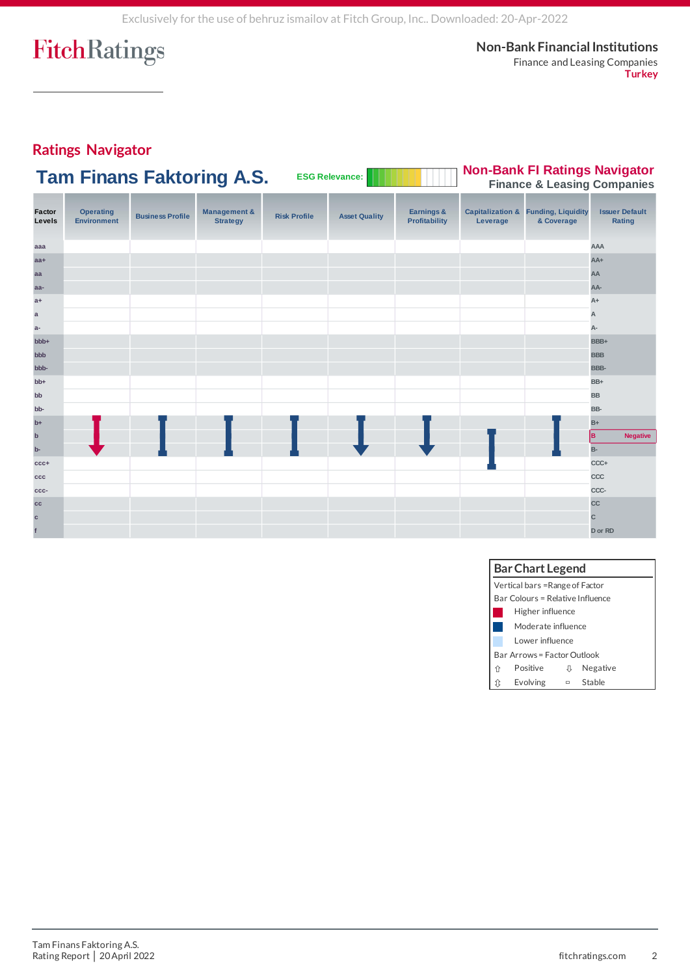**Non-Bank Financial Institutions** Finance and Leasing Companies **Turkey**

# **Ratings Navigator**

| <b>Tam Finans Faktoring A.S.</b> | <b>ESG Relevance:</b> | <b>WITHIN Non-Bank FI Ratings Navigator</b> |
|----------------------------------|-----------------------|---------------------------------------------|
|                                  |                       | <b>Finance &amp; Leasing Companies</b>      |

| Factor<br>Levels | <b>Operating</b><br><b>Environment</b> | <b>Business Profile</b> | <b>Management &amp;</b><br><b>Strategy</b> | <b>Risk Profile</b> | <b>Asset Quality</b> | Earnings &<br><b>Profitability</b> | Leverage | <b>Capitalization &amp; Funding, Liquidity</b><br>& Coverage | <b>Issuer Default</b><br>Rating |
|------------------|----------------------------------------|-------------------------|--------------------------------------------|---------------------|----------------------|------------------------------------|----------|--------------------------------------------------------------|---------------------------------|
| aaa              |                                        |                         |                                            |                     |                      |                                    |          |                                                              | <b>AAA</b>                      |
| $aa+$            |                                        |                         |                                            |                     |                      |                                    |          |                                                              | $AA+$                           |
| aa               |                                        |                         |                                            |                     |                      |                                    |          |                                                              | AA                              |
| aa-              |                                        |                         |                                            |                     |                      |                                    |          |                                                              | AA-                             |
| $a+$             |                                        |                         |                                            |                     |                      |                                    |          |                                                              | $A+$                            |
| $\mathsf{a}$     |                                        |                         |                                            |                     |                      |                                    |          |                                                              | A                               |
| $a-$             |                                        |                         |                                            |                     |                      |                                    |          |                                                              | A-                              |
| +ddd             |                                        |                         |                                            |                     |                      |                                    |          |                                                              | BBB+                            |
| bbb              |                                        |                         |                                            |                     |                      |                                    |          |                                                              | <b>BBB</b>                      |
| -ddd             |                                        |                         |                                            |                     |                      |                                    |          |                                                              | BBB-                            |
| $bb+$            |                                        |                         |                                            |                     |                      |                                    |          |                                                              | BB+                             |
| bb               |                                        |                         |                                            |                     |                      |                                    |          |                                                              | <b>BB</b>                       |
| bb-              |                                        |                         |                                            |                     |                      |                                    |          |                                                              | BB-                             |
| $b+$             |                                        |                         |                                            |                     |                      |                                    |          |                                                              | $B+$                            |
| $\mathbf b$      |                                        |                         |                                            |                     |                      |                                    |          |                                                              | lв.<br><b>Negative</b>          |
| $b-$             |                                        |                         |                                            |                     |                      |                                    |          |                                                              | <b>B-</b>                       |
| $ccc+$           |                                        |                         |                                            |                     |                      |                                    |          |                                                              | CCC+                            |
| ccc              |                                        |                         |                                            |                     |                      |                                    |          |                                                              | CCC                             |
| ccc-             |                                        |                         |                                            |                     |                      |                                    |          |                                                              | CCC-                            |
| cc               |                                        |                         |                                            |                     |                      |                                    |          |                                                              | cc                              |
| $\mathbf{c}$     |                                        |                         |                                            |                     |                      |                                    |          |                                                              | C                               |
|                  |                                        |                         |                                            |                     |                      |                                    |          |                                                              | D or RD                         |

| <b>Bar Chart Legend</b> |                                  |        |          |  |  |  |  |  |
|-------------------------|----------------------------------|--------|----------|--|--|--|--|--|
|                         | Vertical bars =Range of Factor   |        |          |  |  |  |  |  |
|                         | Bar Colours = Relative Influence |        |          |  |  |  |  |  |
|                         | Higher influence                 |        |          |  |  |  |  |  |
|                         | Moderate influence               |        |          |  |  |  |  |  |
|                         | Lower influence                  |        |          |  |  |  |  |  |
|                         | Bar Arrows = Factor Outlook      |        |          |  |  |  |  |  |
| 介                       | Positive                         | Л      | Negative |  |  |  |  |  |
|                         | Evolving                         | $\Box$ | Stable   |  |  |  |  |  |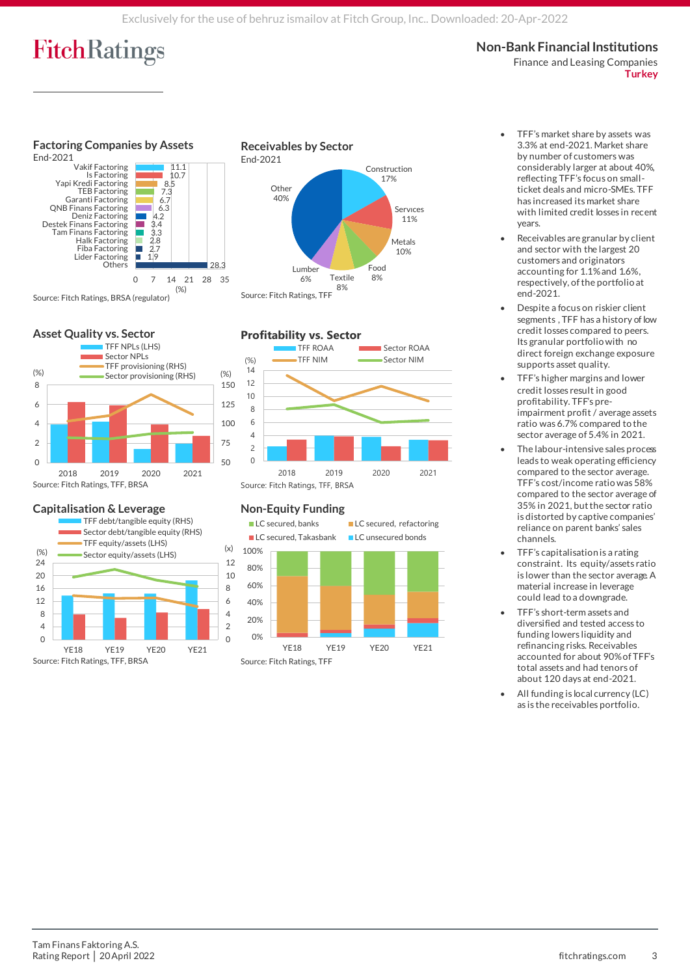## **Non-Bank Financial Institutions**

Finance and Leasing Companies **Turkey**



## **Asset Quality vs. Sector**



### **Capitalisation & Leverage**



#### Construction 17% Servıces 11% Metals 10% Food<br>8% Textile 8% 8% Lumber 6% **Other** 40% Source: Fitch Ratings, TFF

**Receivables by Sector**

End-2021



## **Non-Equity Funding**



- TFF's market share by assets was 3.3% at end-2021. Market share by number of customers was considerably larger at about 40%, reflecting TFF's focus on smallticket deals and micro-SMEs. TFF has increased its market share with limited credit losses in recent years.
- Receivables are granular by client and sector with the largest 20 customers and originators accounting for 1.1% and 1.6%, respectively, of the portfolio at end-2021.
- Despite a focus on riskier client segments , TFF has a history of low credit losses compared to peers. Its granular portfolio with no direct foreign exchange exposure supports asset quality.
- TFF's higher margins and lower credit losses result in good profitability. TFF's preimpairment profit / average assets ratio was 6.7% compared to the sector average of 5.4% in 2021.
- The labour-intensive sales process leads to weak operating efficiency compared to the sector average. TFF's cost/income ratio was 58% compared to the sector average of 35% in 2021, but the sector ratio is distorted by captive companies' reliance on parent banks' sales channels.
- TFF's capitalisation is a rating constraint. Its equity/assets ratio is lower than the sector average. A material increase in leverage could lead to a downgrade.
- TFF's short-term assets and diversified and tested access to funding lowers liquidity and refinancing risks. Receivables accounted for about 90% of TFF's total assets and had tenors of about 120 days at end-2021.
- All funding is local currency (LC) as is the receivables portfolio.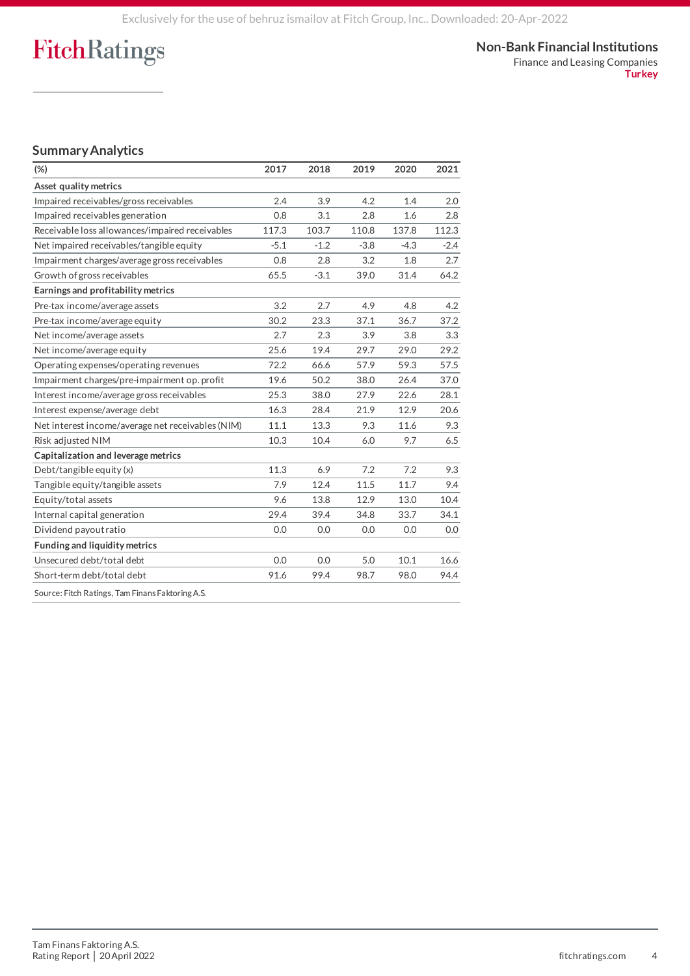Finance and Leasing Companies **Turkey**

# **Summary Analytics**

| $(\%)$                                            | 2017   | 2018   | 2019   | 2020   | 2021   |
|---------------------------------------------------|--------|--------|--------|--------|--------|
| Asset quality metrics                             |        |        |        |        |        |
| Impaired receivables/gross receivables            | 2.4    | 3.9    | 4.2    | 1.4    | 2.0    |
| Impaired receivables generation                   | 0.8    | 3.1    | 2.8    | 1.6    | 2.8    |
| Receivable loss allowances/impaired receivables   | 117.3  | 103.7  | 110.8  | 137.8  | 112.3  |
| Net impaired receivables/tangible equity          | $-5.1$ | $-1.2$ | $-3.8$ | $-4.3$ | $-2.4$ |
| Impairment charges/average gross receivables      | 0.8    | 2.8    | 3.2    | 1.8    | 2.7    |
| Growth of gross receivables                       | 65.5   | $-3.1$ | 39.0   | 31.4   | 64.2   |
| Earnings and profitability metrics                |        |        |        |        |        |
| Pre-tax income/average assets                     | 3.2    | 2.7    | 4.9    | 4.8    | 4.2    |
| Pre-tax income/average equity                     | 30.2   | 23.3   | 37.1   | 36.7   | 37.2   |
| Net income/average assets                         | 2.7    | 2.3    | 3.9    | 3.8    | 3.3    |
| Net income/average equity                         | 25.6   | 19.4   | 29.7   | 29.0   | 29.2   |
| Operating expenses/operating revenues             | 72.2   | 66.6   | 57.9   | 59.3   | 57.5   |
| Impairment charges/pre-impairment op. profit      | 19.6   | 50.2   | 38.0   | 26.4   | 37.0   |
| Interest income/average gross receivables         | 25.3   | 38.0   | 27.9   | 22.6   | 28.1   |
| Interest expense/average debt                     | 16.3   | 28.4   | 21.9   | 12.9   | 20.6   |
| Net interest income/average net receivables (NIM) | 11.1   | 13.3   | 9.3    | 11.6   | 9.3    |
| Risk adjusted NIM                                 | 10.3   | 10.4   | 6.0    | 9.7    | 6.5    |
| Capitalization and leverage metrics               |        |        |        |        |        |
| Debt/tangible equity (x)                          | 11.3   | 6.9    | 7.2    | 7.2    | 9.3    |
| Tangible equity/tangible assets                   | 7.9    | 12.4   | 11.5   | 11.7   | 9.4    |
| Equity/total assets                               | 9.6    | 13.8   | 12.9   | 13.0   | 10.4   |
| Internal capital generation                       | 29.4   | 39.4   | 34.8   | 33.7   | 34.1   |
| Dividend payout ratio                             | 0.0    | 0.0    | 0.0    | 0.0    | 0.0    |
| Funding and liquidity metrics                     |        |        |        |        |        |
| Unsecured debt/total debt                         | 0.0    | 0.0    | 5.0    | 10.1   | 16.6   |
| Short-term debt/total debt                        | 91.6   | 99.4   | 98.7   | 98.0   | 94.4   |
| Source: Fitch Ratings, Tam Finans Faktoring A.S.  |        |        |        |        |        |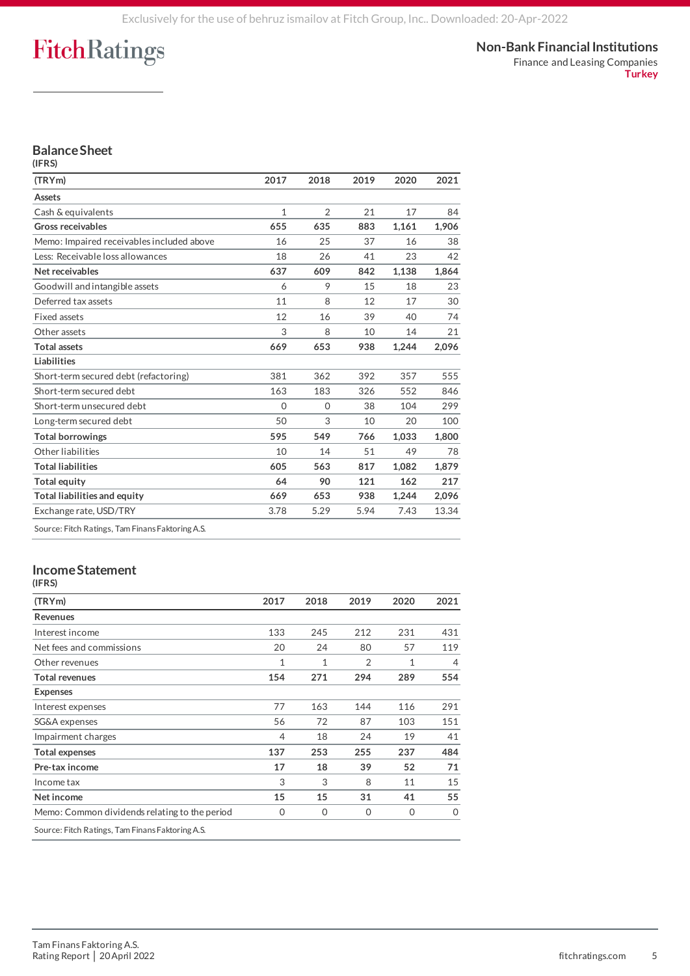Finance and Leasing Companies **Turkey**

### **Balance Sheet (IFRS)**

| (TRYm)                                           | 2017     | 2018           | 2019 | 2020  | 2021  |
|--------------------------------------------------|----------|----------------|------|-------|-------|
| Assets                                           |          |                |      |       |       |
| Cash & equivalents                               | 1        | $\overline{2}$ | 21   | 17    | 84    |
| <b>Gross receivables</b>                         | 655      | 635            | 883  | 1,161 | 1,906 |
| Memo: Impaired receivables included above        | 16       | 25             | 37   | 16    | 38    |
| Less: Receivable loss allowances                 | 18       | 26             | 41   | 23    | 42    |
| Net receivables                                  | 637      | 609            | 842  | 1,138 | 1,864 |
| Goodwill and intangible assets                   | 6        | 9              | 15   | 18    | 23    |
| Deferred tax assets                              | 11       | 8              | 12   | 17    | 30    |
| Fixed assets                                     | 12       | 16             | 39   | 40    | 74    |
| Other assets                                     | 3        | 8              | 10   | 14    | 21    |
| <b>Total assets</b>                              | 669      | 653            | 938  | 1,244 | 2,096 |
| <b>Liabilities</b>                               |          |                |      |       |       |
| Short-term secured debt (refactoring)            | 381      | 362            | 392  | 357   | 555   |
| Short-term secured debt                          | 163      | 183            | 326  | 552   | 846   |
| Short-term unsecured debt                        | $\Omega$ | $\Omega$       | 38   | 104   | 299   |
| Long-term secured debt                           | 50       | 3              | 10   | 20    | 100   |
| <b>Total borrowings</b>                          | 595      | 549            | 766  | 1,033 | 1.800 |
| Other liabilities                                | 10       | 14             | 51   | 49    | 78    |
| <b>Total liabilities</b>                         | 605      | 563            | 817  | 1.082 | 1.879 |
| <b>Total equity</b>                              | 64       | 90             | 121  | 162   | 217   |
| Total liabilities and equity                     | 669      | 653            | 938  | 1,244 | 2,096 |
| Exchange rate, USD/TRY                           | 3.78     | 5.29           | 5.94 | 7.43  | 13.34 |
| Source: Eitch Ratings, Tam Einans Eaktoring A.S. |          |                |      |       |       |

ch Ratings, Tam Finans Faktoring A.

### **Income Statement (IFRS)**

| (TRYm)                                           | 2017         | 2018         | 2019           | 2020         | 2021           |
|--------------------------------------------------|--------------|--------------|----------------|--------------|----------------|
| Revenues                                         |              |              |                |              |                |
| Interest income                                  | 133          | 245          | 212            | 231          | 431            |
| Net fees and commissions                         | 20           | 24           | 80             | 57           | 119            |
| Other revenues                                   | $\mathbf{1}$ | $\mathbf{1}$ | $\overline{2}$ | $\mathbf{1}$ | $\overline{4}$ |
| <b>Total revenues</b>                            | 154          | 271          | 294            | 289          | 554            |
| <b>Expenses</b>                                  |              |              |                |              |                |
| Interest expenses                                | 77           | 163          | 144            | 116          | 291            |
| SG&A expenses                                    | 56           | 72           | 87             | 103          | 151            |
| Impairment charges                               | 4            | 18           | 24             | 19           | 41             |
| <b>Total expenses</b>                            | 137          | 253          | 255            | 237          | 484            |
| Pre-tax income                                   | 17           | 18           | 39             | 52           | 71             |
| Income tax                                       | 3            | 3            | 8              | 11           | 15             |
| Net income                                       | 15           | 15           | 31             | 41           | 55             |
| Memo: Common dividends relating to the period    | $\mathbf 0$  | $\Omega$     | $\Omega$       | $\mathbf 0$  | $\mathbf 0$    |
| Source: Fitch Ratings, Tam Finans Faktoring A.S. |              |              |                |              |                |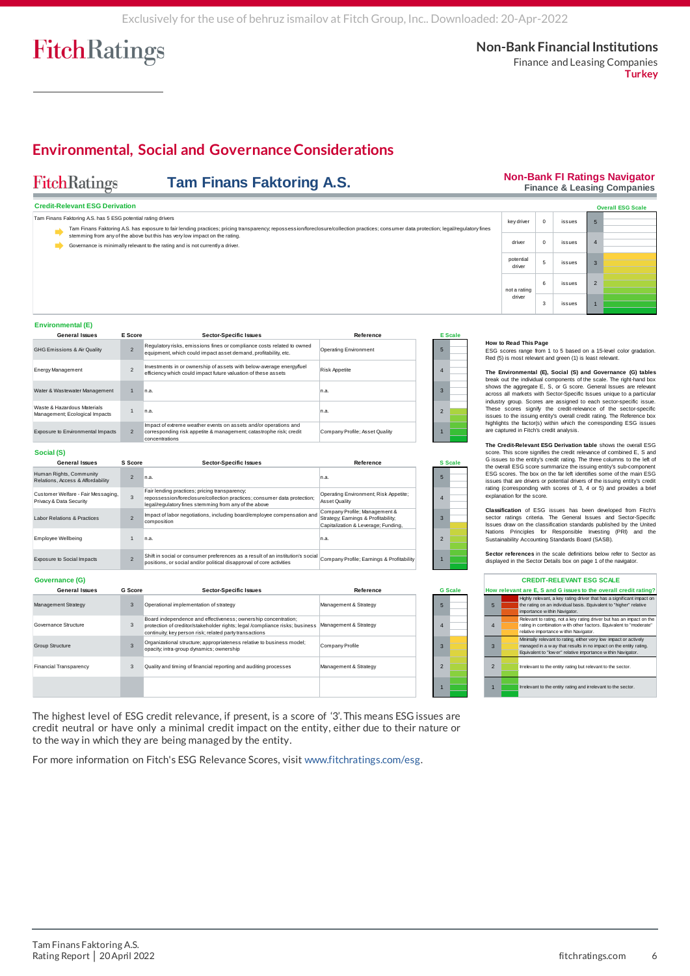**Environmental, Social and Governance Considerations**

# FitchRatings

# **Tam Finans Faktoring A.S.**

#### **Non-Bank FI Ratings Navigator Finance & Leasing Companies**

|  |  | <b>I Illialive a Leasing Companies</b> |
|--|--|----------------------------------------|
|  |  |                                        |
|  |  |                                        |
|  |  | $\sim$ $\sim$ $\sim$ $\sim$ $\sim$     |

**Turkey**

| <b>Credit-Relevant ESG Derivation</b>                                                                                                                                                                                                                   |  |                |                                                                                                                                                             |                       |                |                                                                                    |             |        |                | <b>Overall ESG Scale</b>                                          |  |  |
|---------------------------------------------------------------------------------------------------------------------------------------------------------------------------------------------------------------------------------------------------------|--|----------------|-------------------------------------------------------------------------------------------------------------------------------------------------------------|-----------------------|----------------|------------------------------------------------------------------------------------|-------------|--------|----------------|-------------------------------------------------------------------|--|--|
| Tam Finans Faktoring A.S. has 5 ESG potential rating drivers<br>Tam Finans Faktoring A.S. has exposure to fair lending practices; pricing transparency; repossession/foreclosure/collection practices; consumer data protection; legal/regulatory fines |  |                |                                                                                                                                                             |                       |                |                                                                                    | $\mathbf 0$ | issues | 5              |                                                                   |  |  |
|                                                                                                                                                                                                                                                         |  |                | stemming from any of the above but this has very low impact on the rating.<br>Governance is minimally relevant to the rating and is not currently a driver. |                       |                | driver                                                                             | $\mathbf 0$ | issues | $\overline{4}$ |                                                                   |  |  |
|                                                                                                                                                                                                                                                         |  |                |                                                                                                                                                             |                       |                | potential<br>driver                                                                | 5           | issues | 3              |                                                                   |  |  |
|                                                                                                                                                                                                                                                         |  |                |                                                                                                                                                             |                       |                | not a rating                                                                       | 6           | issues | $\overline{2}$ |                                                                   |  |  |
|                                                                                                                                                                                                                                                         |  |                |                                                                                                                                                             |                       |                | driver                                                                             | 3           | issues |                |                                                                   |  |  |
| <b>Environmental (E)</b>                                                                                                                                                                                                                                |  |                |                                                                                                                                                             |                       |                |                                                                                    |             |        |                |                                                                   |  |  |
| <b>General Issues</b>                                                                                                                                                                                                                                   |  | E Score        | <b>Sector-Specific Issues</b>                                                                                                                               | Reference             | <b>E</b> Scale |                                                                                    |             |        |                |                                                                   |  |  |
| GHG Emissions & Air Quality                                                                                                                                                                                                                             |  | $\overline{2}$ | Regulatory risks, emissions fines or compliance costs related to owned<br>equipment, which could impact asset demand, profitability, etc.                   | Operating Environment |                | How to Read This Page<br>Red (5) is most relevant and green (1) is least relevant. |             |        |                | ESG scores range from 1 to 5 based on a 15-level color gradation. |  |  |
| ______                                                                                                                                                                                                                                                  |  | <b>Section</b> | Investments in or ownership of assets with below-average energy/fuel                                                                                        | .                     |                |                                                                                    |             |        |                |                                                                   |  |  |

### **Environmental (E)**

| <b>General Issues</b>                                         | E Score        | <b>Sector-Specific Issues</b>                                                                                                                            | Reference                      |   | <b>E</b> Scale |
|---------------------------------------------------------------|----------------|----------------------------------------------------------------------------------------------------------------------------------------------------------|--------------------------------|---|----------------|
| <b>GHG Emissions &amp; Air Quality</b>                        | $\overline{2}$ | Regulatory risks, emissions fines or compliance costs related to owned<br>equipment, which could impact asset demand, profitability, etc.                | Operating Environment          | 5 |                |
| Energy Management                                             |                | Investments in or ownership of assets with below-average energy/fuel<br>efficiency which could impact future valuation of these assets                   | <b>Risk Appetite</b>           |   |                |
| Water & Wastewater Management                                 |                | n.a.                                                                                                                                                     | n.a.                           |   |                |
| Waste & Hazardous Materials<br>Management; Ecological Impacts |                | n.a.                                                                                                                                                     | n.a.                           |   |                |
| Exposure to Environmental Impacts                             | $\mathcal{P}$  | Impact of extreme weather events on assets and/or operations and<br>corresponding risk appetite & management; catastrophe risk; credit<br>concentrations | Company Profile: Asset Quality |   |                |

### **Social (S)**

| <b>General Issues</b>                                         | S Score | <b>Sector-Specific Issues</b>                                                                                                                                                      | Reference                                                                                                   |              | <b>S</b> Scale |
|---------------------------------------------------------------|---------|------------------------------------------------------------------------------------------------------------------------------------------------------------------------------------|-------------------------------------------------------------------------------------------------------------|--------------|----------------|
| Human Rights, Community<br>Relations, Access & Affordability  |         | In.a.                                                                                                                                                                              | In a                                                                                                        |              |                |
| Customer Welfare - Fair Messaging.<br>Privacy & Data Security | 3       | Fair lending practices; pricing transparency;<br>repossession/foreclosure/collection practices; consumer data protection;<br>legal/regulatory fines stemming from any of the above | Operating Environment; Risk Appetite;<br>Asset Quality                                                      |              |                |
| Labor Relations & Practices                                   |         | Impact of labor negotiations, including board/employee compensation and<br>composition                                                                                             | Company Profile; Management &<br>Strategy; Earnings & Profitability;<br>Capitalization & Leverage: Funding. | $\mathbf{R}$ |                |
| <b>Employee Wellbeing</b>                                     |         | n.a.                                                                                                                                                                               | In a                                                                                                        |              |                |
| <b>Exposure to Social Impacts</b>                             |         | Shift in social or consumer preferences as a result of an institution's social<br>positions, or social and/or political disapproval of core activities                             | Company Profile; Earnings & Profitability                                                                   |              |                |

### **Governance (G)**

| <b>General Issues</b>         | <b>G</b> Score | <b>Sector-Specific Issues</b>                                                                                                                                                                             | Reference             |   | <b>G</b> Scale |
|-------------------------------|----------------|-----------------------------------------------------------------------------------------------------------------------------------------------------------------------------------------------------------|-----------------------|---|----------------|
| Management Strategy           | 3              | Operational implementation of strategy                                                                                                                                                                    | Management & Strategy | 5 |                |
| Governance Structure          | 3              | Board independence and effectiveness; ownership concentration;<br>protection of creditor/stakeholder rights; legal /compliance risks; business<br>continuity; key person risk; related party transactions | Management & Strategy | 4 |                |
| <b>Group Structure</b>        |                | Organizational structure; appropriateness relative to business model;<br>opacity; intra-group dynamics; ownership                                                                                         | Company Profile       |   |                |
| <b>Financial Transparency</b> |                | Quality and timing of financial reporting and auditing processes                                                                                                                                          | Management & Strategy | 2 |                |
|                               |                |                                                                                                                                                                                                           |                       |   |                |

The highest level of ESG credit relevance, if present, is a score of '3'. This means ESG issues are credit neutral or have only a minimal credit impact on the entity, either due to their nature or to the way in which they are being managed by the entity.

For more information on Fitch's ESG Relevance Scores, visit [www.fitchratings.com/esg.](file:///C:/Users/jlangton/AppData/Local/Microsoft/Windows/INetCache/IE/P7HRPM18/www.fitchratings.com/esg)

#### **How to Read This Page**

**The Environmental (E), Social (S) and Governance (G) tables** break out the individual components of the scale. The right-hand box **How to Read This Page**<br>ESG scores range from 1 to 5 based on a 15-level color gradation.<br>Red (5) is most relevant and green (1) is least relevant.<br>The Environmental (E), Social (S) and Governance (G) tables<br>break out the These scores signify the credit-relevance of the sector-specific Est scores tange from 1 to b based on a 15-level coint greation.<br>Red (5) is most relevant and green (1) is least relevant.<br>The Environmental (E), Social (S) and Governance (G) tables<br>break out the individual components of highlights the factor(s) within which the corresponding ESG issues are captured in Fitch's credit analysis. shows the aggregate E, S, or G score. General Issues are relevant solars across all markets with Sector-Specific Issues unique to a particular industry group. Scores are assigned to each sector-specific issue. These scores across all markets with sector-specific issues unique to a particular These scores signify the credit-relevance of the sector-specific issues to the issuing entity's owerall credit rating. The Reference box iniquilibigitis

**The Credit-Relevant ESG Derivation table** shows the overall ESG ESG scores. The box on the far left identifies some of the main ESG issues that are drivers or potential drivers of the issuing entity's credit rating (corresponding with scores of 3, 4 or 5) and provides a brief explanation for the score.

**Classification** of ESG issues has been developed from Fitch's sector ratings criteria. The General Issues and Sector-Specific Issues draw on the classification standards published by the United Nations Principles for Responsible Investing (PRI) and the Sustainability Accounting Standards Board (SASB). reting (corresponding with scores of 3, 4 or 5) and provides a below explanation for the score.<br> **Classification** of ESG issues has been developed from Fitch's<br>
Sector ratings criteria. The General Issues and Sector-Specif

| <b>CREDIT-RELEVANT ESG SCALE</b><br>How relevant are E, S and G issues to the overall credit rating? |                                                                                                                                                                                                       |
|------------------------------------------------------------------------------------------------------|-------------------------------------------------------------------------------------------------------------------------------------------------------------------------------------------------------|
|                                                                                                      |                                                                                                                                                                                                       |
| $\overline{4}$                                                                                       | Relevant to rating, not a key rating driver but has an impact on the<br>rating in combination with other factors. Equivalent to "moderate"<br>relative importance within Navigator.                   |
| 3                                                                                                    | Minimally relevant to rating, either very low impact or actively<br>managed in a w ay that results in no impact on the entity rating.<br>Equivalent to "low er" relative importance within Navigator. |
| $\overline{2}$                                                                                       | Irrelevant to the entity rating but relevant to the sector.                                                                                                                                           |
| $\overline{1}$                                                                                       | Irrelevant to the entity rating and irrelevant to the sector.                                                                                                                                         |